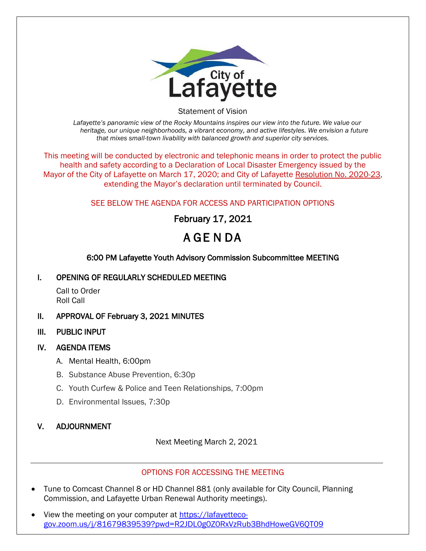

Statement of Vision

*Lafayette's panoramic view of the Rocky Mountains inspires our view into the future. We value our heritage, our unique neighborhoods, a vibrant economy, and active lifestyles. We envision a future that mixes small-town livability with balanced growth and superior city services.*

This meeting will be conducted by electronic and telephonic means in order to protect the public health and safety according to a Declaration of Local Disaster Emergency issued by the Mayor of the City of Lafayette on March 17, 2020; and City of Lafayette Resolution No. 2020-23, extending the Mayor's declaration until terminated by Council.

## SEE BELOW THE AGENDA FOR ACCESS AND PARTICIPATION OPTIONS

# February 17, 2021

# A GE N DA

## 6:00 PM Lafayette Youth Advisory Commission Subcommittee MEETING

#### I. OPENING OF REGULARLY SCHEDULED MEETING

Call to Order Roll Call

#### II. APPROVAL OF February 3, 2021 MINUTES

III. PUBLIC INPUT

#### IV. AGENDA ITEMS

- A. Mental Health, 6:00pm
- B. Substance Abuse Prevention, 6:30p
- C. Youth Curfew & Police and Teen Relationships, 7:00pm
- D. Environmental Issues, 7:30p

#### V. ADJOURNMENT

Next Meeting March 2, 2021

#### OPTIONS FOR ACCESSING THE MEETING

- Tune to Comcast Channel 8 or HD Channel 881 (only available for City Council, Planning Commission, and Lafayette Urban Renewal Authority meetings).
- View the meeting on your computer at [https://lafayetteco](https://lafayetteco-gov.zoom.us/j/81679839539?pwd=R2JDL0g0Z0RxVzRub3BhdHoweGV6QT09)[gov.zoom.us/j/81679839539?pwd=R2JDL0g0Z0RxVzRub3BhdHoweGV6QT09](https://lafayetteco-gov.zoom.us/j/81679839539?pwd=R2JDL0g0Z0RxVzRub3BhdHoweGV6QT09)